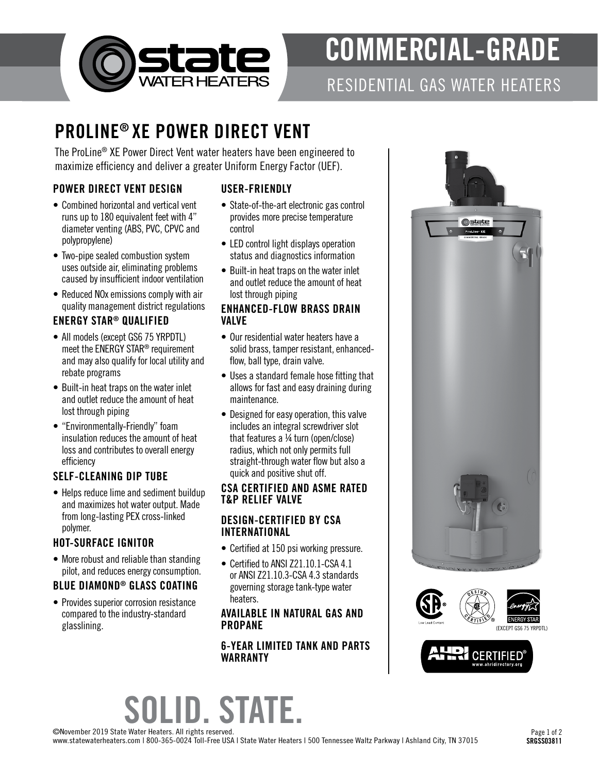

# COMMERCIAL-GRADE

### RESIDENTIAL GAS WATER HEATERS

## PROLINE® XE POWER DIRECT VENT

The ProLine® XE Power Direct Vent water heaters have been engineered to maximize efficiency and deliver a greater Uniform Energy Factor (UEF).

#### POWER DIRECT VENT DESIGN

- Combined horizontal and vertical vent runs up to 180 equivalent feet with 4" diameter venting (ABS, PVC, CPVC and polypropylene)
- Two-pipe sealed combustion system uses outside air, eliminating problems caused by insufficient indoor ventilation
- Reduced NOx emissions comply with air quality management district regulations

### ENERGY STAR® QUALIFIED

- All models (except GS6 75 YRPDTL) meet the ENERGY STAR® requirement and may also qualify for local utility and rebate programs
- Built-in heat traps on the water inlet and outlet reduce the amount of heat lost through piping
- "Environmentally-Friendly" foam insulation reduces the amount of heat loss and contributes to overall energy efficiency

### SELF-CLEANING DIP TUBE

• Helps reduce lime and sediment buildup and maximizes hot water output. Made from long-lasting PEX cross-linked polymer.

#### HOT-SURFACE IGNITOR

• More robust and reliable than standing pilot, and reduces energy consumption.

#### BLUE DIAMOND® GLASS COATING

• Provides superior corrosion resistance compared to the industry-standard glasslining.

#### USER-FRIENDLY

- State-of-the-art electronic gas control provides more precise temperature control
- LED control light displays operation status and diagnostics information
- Built-in heat traps on the water inlet and outlet reduce the amount of heat lost through piping

#### ENHANCED-FLOW BRASS DRAIN VALVE

- Our residential water heaters have a solid brass, tamper resistant, enhancedflow, ball type, drain valve.
- Uses a standard female hose fitting that allows for fast and easy draining during maintenance.
- Designed for easy operation, this valve includes an integral screwdriver slot that features a ¼ turn (open/close) radius, which not only permits full straight-through water flow but also a quick and positive shut off.

#### CSA CERTIFIED AND ASME RATED T&P RELIEF VALVE

#### DESIGN-CERTIFIED BY CSA INTERNATIONAL

- Certified at 150 psi working pressure.
- Certified to ANSI Z21.10.1-CSA 4.1 or ANSI Z21.10.3-CSA 4.3 standards governing storage tank-type water heaters.

#### AVAILABLE IN NATURAL GAS AND PROPANE

#### 6-YEAR LIMITED TANK AND PARTS WARRANTY







# SOLID. STATE.